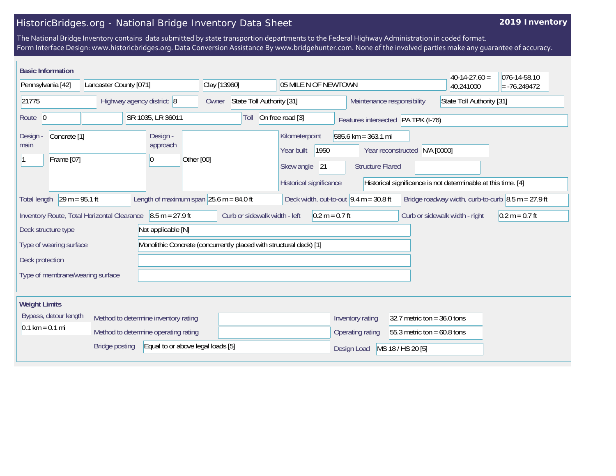## HistoricBridges.org - National Bridge Inventory Data Sheet

## **2019 Inventory**

The National Bridge Inventory contains data submitted by state transportion departments to the Federal Highway Administration in coded format. Form Interface Design: www.historicbridges.org. Data Conversion Assistance By www.bridgehunter.com. None of the involved parties make any guarantee of accuracy.

| <b>Basic Information</b>                                                                                                                                                                                                                                                                   |                                                                              |                                                                    |                                                                                     |                                                                                                   | $40-14-27.60 =$                                                | 076-14-58.10     |  |
|--------------------------------------------------------------------------------------------------------------------------------------------------------------------------------------------------------------------------------------------------------------------------------------------|------------------------------------------------------------------------------|--------------------------------------------------------------------|-------------------------------------------------------------------------------------|---------------------------------------------------------------------------------------------------|----------------------------------------------------------------|------------------|--|
| Pennsylvania [42]                                                                                                                                                                                                                                                                          | Lancaster County [071]                                                       | Clay [13960]                                                       | 05 MILE N OF NEWTOWN                                                                |                                                                                                   | 40.241000                                                      | $= -76.249472$   |  |
| 21775                                                                                                                                                                                                                                                                                      | Highway agency district: 8                                                   | State Toll Authority [31]<br>Owner                                 |                                                                                     | Maintenance responsibility                                                                        | State Toll Authority [31]                                      |                  |  |
| Route 0                                                                                                                                                                                                                                                                                    | SR 1035, LR 36011                                                            | Toll                                                               | On free road [3]                                                                    | Features intersected PA TPK (I-76)                                                                |                                                                |                  |  |
| Concrete <sup>[1]</sup><br>Design -<br>main<br>Frame [07]                                                                                                                                                                                                                                  | Design -<br>approach<br>$ 0\rangle$                                          | Other [00]                                                         | Kilometerpoint<br>1950<br>Year built<br>Skew angle<br>21<br>Historical significance | $585.6 \text{ km} = 363.1 \text{ mi}$<br>Year reconstructed N/A [0000]<br><b>Structure Flared</b> |                                                                |                  |  |
| Historical significance is not determinable at this time. [4]<br>$29 m = 95.1 ft$<br>Length of maximum span $ 25.6 \text{ m} = 84.0 \text{ ft} $<br>Deck width, out-to-out $9.4 m = 30.8 ft$<br>Bridge roadway width, curb-to-curb $\vert 8.5 \text{ m} = 27.9 \text{ ft}$<br>Total length |                                                                              |                                                                    |                                                                                     |                                                                                                   |                                                                |                  |  |
|                                                                                                                                                                                                                                                                                            | Inventory Route, Total Horizontal Clearance $\vert$ 8.5 m = 27.9 ft          | Curb or sidewalk width - left                                      | $0.2 m = 0.7 ft$                                                                    |                                                                                                   | Curb or sidewalk width - right                                 | $0.2 m = 0.7 ft$ |  |
| Deck structure type<br>Not applicable [N]                                                                                                                                                                                                                                                  |                                                                              |                                                                    |                                                                                     |                                                                                                   |                                                                |                  |  |
| Type of wearing surface                                                                                                                                                                                                                                                                    |                                                                              | Monolithic Concrete (concurrently placed with structural deck) [1] |                                                                                     |                                                                                                   |                                                                |                  |  |
| Deck protection                                                                                                                                                                                                                                                                            |                                                                              |                                                                    |                                                                                     |                                                                                                   |                                                                |                  |  |
| Type of membrane/wearing surface                                                                                                                                                                                                                                                           |                                                                              |                                                                    |                                                                                     |                                                                                                   |                                                                |                  |  |
| <b>Weight Limits</b>                                                                                                                                                                                                                                                                       |                                                                              |                                                                    |                                                                                     |                                                                                                   |                                                                |                  |  |
| Bypass, detour length<br>$0.1 \text{ km} = 0.1 \text{ mi}$                                                                                                                                                                                                                                 | Method to determine inventory rating<br>Method to determine operating rating |                                                                    |                                                                                     | Inventory rating<br>Operating rating                                                              | 32.7 metric ton = $36.0$ tons<br>55.3 metric ton = $60.8$ tons |                  |  |
|                                                                                                                                                                                                                                                                                            | Equal to or above legal loads [5]<br><b>Bridge posting</b>                   |                                                                    |                                                                                     | MS 18 / HS 20 [5]<br>Design Load                                                                  |                                                                |                  |  |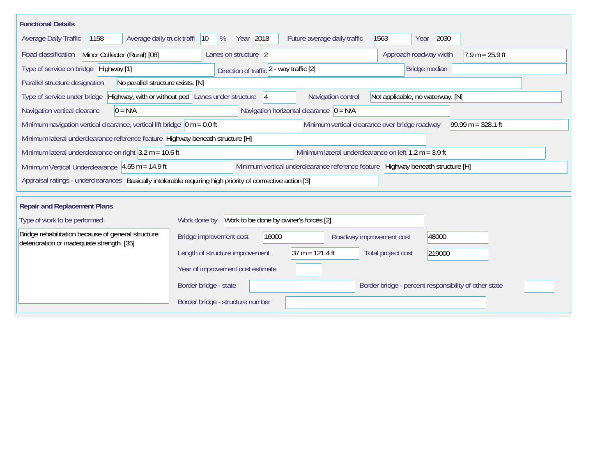| <b>Functional Details</b>                                                                                                                                    |                                                       |                   |                          |                                  |                                                       |  |  |  |
|--------------------------------------------------------------------------------------------------------------------------------------------------------------|-------------------------------------------------------|-------------------|--------------------------|----------------------------------|-------------------------------------------------------|--|--|--|
| 2030<br>Average daily truck traffi<br>Year 2018<br>Future average daily traffic<br>1563<br><b>Average Daily Traffic</b><br>1158<br>$ 10\rangle$<br>%<br>Year |                                                       |                   |                          |                                  |                                                       |  |  |  |
| Minor Collector (Rural) [08]<br>Road classification                                                                                                          | Lanes on structure 2                                  |                   |                          | Approach roadway width           | $17.9 m = 25.9 ft$                                    |  |  |  |
| Type of service on bridge Highway [1]                                                                                                                        | Direction of traffic 2 - way traffic [2]              |                   |                          | Bridge median                    |                                                       |  |  |  |
| Parallel structure designation<br>No parallel structure exists. [N]                                                                                          |                                                       |                   |                          |                                  |                                                       |  |  |  |
| Type of service under bridge                                                                                                                                 | Highway, with or without ped Lanes under structure 4  |                   | Navigation control       | Not applicable, no waterway. [N] |                                                       |  |  |  |
| Navigation horizontal clearance $ 0 = N/A $<br>Navigation vertical clearanc<br>$0 = N/A$                                                                     |                                                       |                   |                          |                                  |                                                       |  |  |  |
| Minimum navigation vertical clearance, vertical lift bridge $\vert$ 0 m = 0.0 ft<br>Minimum vertical clearance over bridge roadway<br>$99.99 m = 328.1 ft$   |                                                       |                   |                          |                                  |                                                       |  |  |  |
| Minimum lateral underclearance reference feature Highway beneath structure [H]                                                                               |                                                       |                   |                          |                                  |                                                       |  |  |  |
| Minimum lateral underclearance on left $1.2$ m = 3.9 ft<br>Minimum lateral underclearance on right $3.2$ m = 10.5 ft                                         |                                                       |                   |                          |                                  |                                                       |  |  |  |
| Minimum vertical underclearance reference feature Highway beneath structure [H]<br>Minimum Vertical Underclearance $ 4.55 \text{ m} = 14.9 \text{ ft} $      |                                                       |                   |                          |                                  |                                                       |  |  |  |
| Appraisal ratings - underclearances Basically intolerable requiring high priority of corrrective action [3]                                                  |                                                       |                   |                          |                                  |                                                       |  |  |  |
| <b>Repair and Replacement Plans</b>                                                                                                                          |                                                       |                   |                          |                                  |                                                       |  |  |  |
| Type of work to be performed                                                                                                                                 | Work to be done by owner's forces [2]<br>Work done by |                   |                          |                                  |                                                       |  |  |  |
| Bridge rehabilitation because of general structure<br>deterioration or inadequate strength. [35]                                                             | Bridge improvement cost                               | 16000             | Roadway improvement cost | 48000                            |                                                       |  |  |  |
|                                                                                                                                                              | Length of structure improvement                       | $37 m = 121.4 ft$ |                          | Total project cost<br>219000     |                                                       |  |  |  |
|                                                                                                                                                              | Year of improvement cost estimate                     |                   |                          |                                  |                                                       |  |  |  |
|                                                                                                                                                              | Border bridge - state                                 |                   |                          |                                  | Border bridge - percent responsibility of other state |  |  |  |
|                                                                                                                                                              | Border bridge - structure number                      |                   |                          |                                  |                                                       |  |  |  |